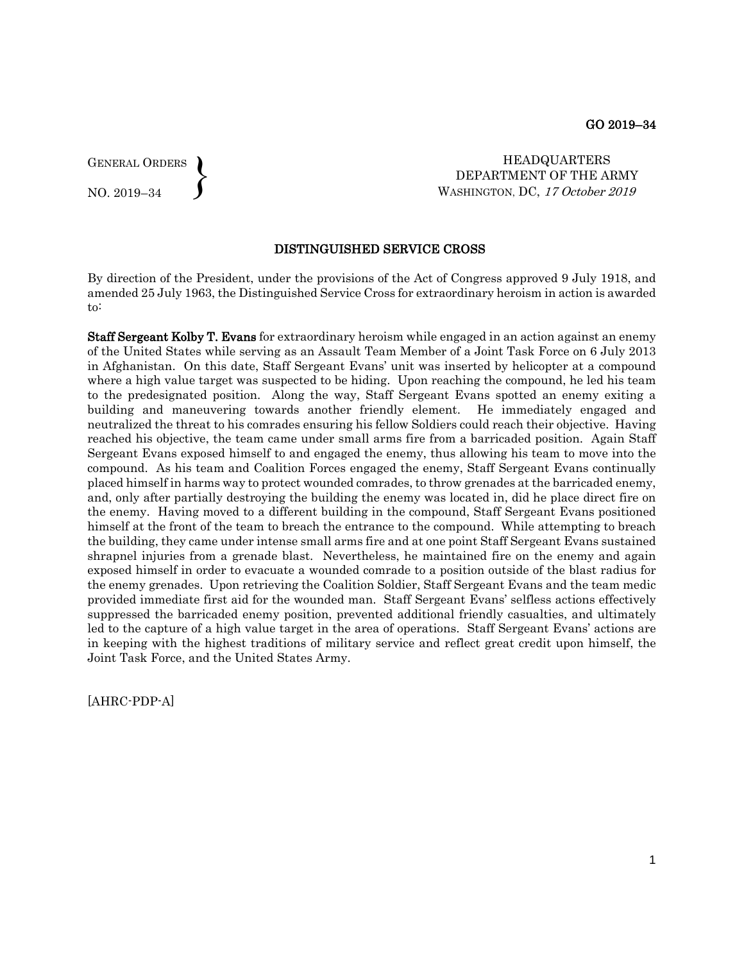GENERAL ORDERS NO. 2019–34  $\left\{ \right\}$ 

 HEADQUARTERS DEPARTMENT OF THE ARMY WASHINGTON, DC, 17 October 2019

## DISTINGUISHED SERVICE CROSS

By direction of the President, under the provisions of the Act of Congress approved 9 July 1918, and amended 25 July 1963, the Distinguished Service Cross for extraordinary heroism in action is awarded to:

Staff Sergeant Kolby T. Evans for extraordinary heroism while engaged in an action against an enemy of the United States while serving as an Assault Team Member of a Joint Task Force on 6 July 2013 in Afghanistan. On this date, Staff Sergeant Evans' unit was inserted by helicopter at a compound where a high value target was suspected to be hiding. Upon reaching the compound, he led his team to the predesignated position. Along the way, Staff Sergeant Evans spotted an enemy exiting a building and maneuvering towards another friendly element. He immediately engaged and neutralized the threat to his comrades ensuring his fellow Soldiers could reach their objective. Having reached his objective, the team came under small arms fire from a barricaded position. Again Staff Sergeant Evans exposed himself to and engaged the enemy, thus allowing his team to move into the compound. As his team and Coalition Forces engaged the enemy, Staff Sergeant Evans continually placed himself in harms way to protect wounded comrades, to throw grenades at the barricaded enemy, and, only after partially destroying the building the enemy was located in, did he place direct fire on the enemy. Having moved to a different building in the compound, Staff Sergeant Evans positioned himself at the front of the team to breach the entrance to the compound. While attempting to breach the building, they came under intense small arms fire and at one point Staff Sergeant Evans sustained shrapnel injuries from a grenade blast. Nevertheless, he maintained fire on the enemy and again exposed himself in order to evacuate a wounded comrade to a position outside of the blast radius for the enemy grenades. Upon retrieving the Coalition Soldier, Staff Sergeant Evans and the team medic provided immediate first aid for the wounded man. Staff Sergeant Evans' selfless actions effectively suppressed the barricaded enemy position, prevented additional friendly casualties, and ultimately led to the capture of a high value target in the area of operations. Staff Sergeant Evans' actions are in keeping with the highest traditions of military service and reflect great credit upon himself, the Joint Task Force, and the United States Army.

[AHRC-PDP-A]